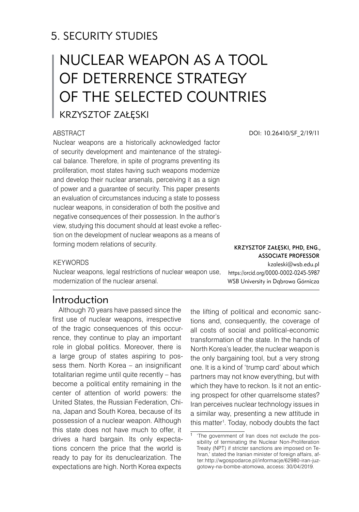# 5. SECURITY STUDIES

# Nuclear weapon as a tool of deterrence strategy of the selected countries

# Krzysztof Załęski

## **ABSTRACT**

Nuclear weapons are a historically acknowledged factor of security development and maintenance of the strategical balance. Therefore, in spite of programs preventing its proliferation, most states having such weapons modernize and develop their nuclear arsenals, perceiving it as a sign of power and a guarantee of security. This paper presents an evaluation of circumstances inducing a state to possess nuclear weapons, in consideration of both the positive and negative consequences of their possession. In the author's view, studying this document should at least evoke a reflection on the development of nuclear weapons as a means of forming modern relations of security.

DOI: 10.26410/SF\_2/19/11

#### Krzysztof Załęski, PhD, Eng., Associate Professor kzaleski@wsb.edu.pl

https://orcid.org/0000-0002-0245-5987 WSB University in Dąbrowa Górnicza

**KEYWORDS** 

Nuclear weapons, legal restrictions of nuclear weapon use, modernization of the nuclear arsenal.

# Introduction

Although 70 years have passed since the first use of nuclear weapons, irrespective of the tragic consequences of this occurrence, they continue to play an important role in global politics. Moreover, there is a large group of states aspiring to possess them. North Korea – an insignificant totalitarian regime until quite recently – has become a political entity remaining in the center of attention of world powers: the United States, the Russian Federation, China, Japan and South Korea, because of its possession of a nuclear weapon. Although this state does not have much to offer, it drives a hard bargain. Its only expectations concern the price that the world is ready to pay for its denuclearization. The expectations are high. North Korea expects

the lifting of political and economic sanctions and, consequently, the coverage of all costs of social and political-economic transformation of the state. In the hands of North Korea's leader, the nuclear weapon is the only bargaining tool, but a very strong one. It is a kind of 'trump card' about which partners may not know everything, but with which they have to reckon. Is it not an enticing prospect for other quarrelsome states? Iran perceives nuclear technology issues in a similar way, presenting a new attitude in this matter . Today, nobody doubts the fact

'The government of Iran does not exclude the possibility of terminating the Nuclear Non-Proliferation Treaty (NPT) if stricter sanctions are imposed on Tehran,' stated the Iranian minister of foreign affairs, after: http://wgospodarce.pl/informacje/62980-iran-juzgotowy-na-bombe-atomowa, access: 30/04/2019.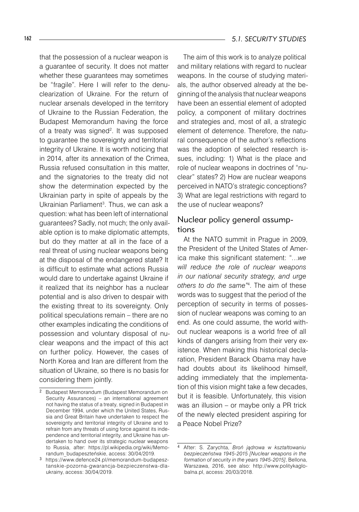that the possession of a nuclear weapon is a guarantee of security. It does not matter whether these guarantees may sometimes be "fragile". Here I will refer to the denuclearization of Ukraine. For the return of nuclear arsenals developed in the territory of Ukraine to the Russian Federation, the Budapest Memorandum having the force of a treaty was signed<sup>2</sup>. It was supposed to guarantee the sovereignty and territorial integrity of Ukraine. It is worth noticing that in 2014, after its annexation of the Crimea, Russia refused consultation in this matter, and the signatories to the treaty did not show the determination expected by the Ukrainian party in spite of appeals by the Ukrainian Parliament<sup>3</sup>. Thus, we can ask a question: what has been left of international guarantees? Sadly, not much; the only available option is to make diplomatic attempts, but do they matter at all in the face of a real threat of using nuclear weapons being at the disposal of the endangered state? It is difficult to estimate what actions Russia would dare to undertake against Ukraine if it realized that its neighbor has a nuclear potential and is also driven to despair with the existing threat to its sovereignty. Only political speculations remain – there are no other examples indicating the conditions of possession and voluntary disposal of nuclear weapons and the impact of this act on further policy. However, the cases of North Korea and Iran are different from the situation of Ukraine, so there is no basis for considering them jointly.

The aim of this work is to analyze political and military relations with regard to nuclear weapons. In the course of studying materials, the author observed already at the beginning of the analysis that nuclear weapons have been an essential element of adopted policy, a component of military doctrines and strategies and, most of all, a strategic element of deterrence. Therefore, the natural consequence of the author's reflections was the adoption of selected research issues, including: 1) What is the place and role of nuclear weapons in doctrines of "nuclear" states? 2) How are nuclear weapons perceived in NATO's strategic conceptions? 3) What are legal restrictions with regard to the use of nuclear weapons?

# Nuclear policy general assumptions

At the NATO summit in Prague in 2009, the President of the United States of America make this significant statement: "…*we will reduce the role of nuclear weapons in our national security strategy, and urge others to do the same*<sup>"4</sup>. The aim of these words was to suggest that the period of the perception of security in terms of possession of nuclear weapons was coming to an end. As one could assume, the world without nuclear weapons is a world free of all kinds of dangers arising from their very existence. When making this historical declaration, President Barack Obama may have had doubts about its likelihood himself, adding immediately that the implementation of this vision might take a few decades, but it is feasible. Unfortunately, this vision was an illusion – or maybe only a PR trick of the newly elected president aspiring for a Peace Nobel Prize?

<sup>&</sup>lt;sup>2</sup> Budapest Memorandum (Budapest Memorandum on Security Assurances) – an international agreement not having the status of a treaty, signed in Budapest in December 1994, under which the United States, Russia and Great Britain have undertaken to respect the sovereignty and territorial integrity of Ukraine and to refrain from any threats of using force against its independence and territorial integrity, and Ukraine has undertaken to hand over its strategic nuclear weapons to Russia, after: https://pl.wikipedia.org/wiki/Memorandum\_budapeszteńskie, access: 30/04/2019.

https://www.defence24.pl/memorandum-budapesztanskie-pozorna-gwarancja-bezpieczenstwa-dlaukrainy, access: 30/04/2019.

 After: S. Zarychta, *Broń jądrowa w kształtowaniu bezpieczeństwa 1945-2015 [Nuclear weapons in the formation of security in the years 1945-2015]*, Bellona, Warszawa, 2016, see also: http://www.politykaglobalna.pl, access: 20/03/2018.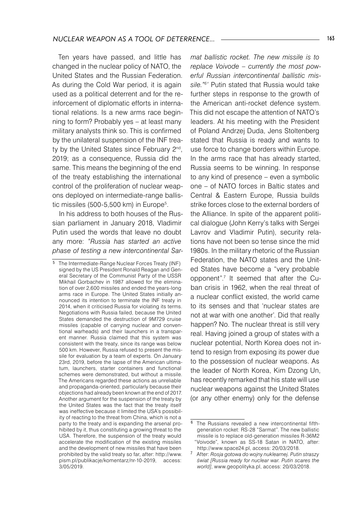Ten years have passed, and little has changed in the nuclear policy of NATO, the United States and the Russian Federation. As during the Cold War period, it is again used as a political deterrent and for the reinforcement of diplomatic efforts in international relations. Is a new arms race beginning to form? Probably yes – at least many military analysts think so. This is confirmed by the unilateral suspension of the INF treaty by the United States since February 2<sup>nd</sup>, 2019; as a consequence, Russia did the same. This means the beginning of the end of the treaty establishing the international control of the proliferation of nuclear weapons deployed on intermediate-range ballistic missiles  $(500-5,500)$  km) in Europe<sup>5</sup>.

In his address to both houses of the Russian parliament in January 2018, Vladimir Putin used the words that leave no doubt any more: *"Russia has started an active phase of testing a new intercontinental Sar-*

*mat ballistic rocket. The new missile is to replace Voivode – currently the most powerful Russian intercontinental ballistic missile." '* Putin stated that Russia would take further steps in response to the growth of the American anti-rocket defence system. This did not escape the attention of NATO's leaders. At his meeting with the President of Poland Andrzej Duda, Jens Stoltenberg stated that Russia is ready and wants to use force to change borders within Europe. In the arms race that has already started, Russia seems to be winning. In response to any kind of presence – even a symbolic one – of NATO forces in Baltic states and Central & Eastern Europe, Russia builds strike forces close to the external borders of the Alliance. In spite of the apparent political dialogue (John Kerry's talks with Sergei Lavrov and Vladimir Putin), security relations have not been so tense since the mid 1980s. In the military rhetoric of the Russian Federation, the NATO states and the United States have become a "very probable opponent".<sup>7</sup> It seemed that after the Cuban crisis in 1962, when the real threat of a nuclear conflict existed, the world came to its senses and that 'nuclear states are not at war with one another'. Did that really happen? No. The nuclear threat is still very real. Having joined a group of states with a nuclear potential, North Korea does not intend to resign from exposing its power due to the possession of nuclear weapons. As the leader of North Korea, Kim Dzong Un, has recently remarked that his state will use nuclear weapons against the United States (or any other enemy) only for the defense

<sup>5</sup> The Intermediate-Range Nuclear Forces Treaty (INF) signed by the US President Ronald Reagan and General Secretary of the Communist Party of the USSR Mikhail Gorbachev in 1987 allowed for the elimination of over 2,600 missiles and ended the years-long arms race in Europe. The United States initially announced its intention to terminate the INF treaty in 2014, when it criticised Russia for violating its terms. Negotiations with Russia failed, because the United States demanded the destruction of 9M729 cruise missiles (capable of carrying nuclear and conventional warheads) and their launchers in a transparent manner. Russia claimed that this system was consistent with the treaty, since its range was below 500 km. However, Russia refused to present the missile for evaluation by a team of experts. On January 23rd, 2019, before the lapse of the American ultimatum, launchers, starter containers and functional schemes were demonstrated, but without a missile. The Americans regarded these actions as unreliable and propaganda-oriented, particularly because their objections had already been known at the end of 2017. Another argument for the suspension of the treaty by the United States was the fact that the treaty itself was ineffective because it limited the USA's possibility of reacting to the threat from China, which is not a party to the treaty and is expanding the arsenal prohibited by it, thus constituting a growing threat to the USA. Therefore, the suspension of the treaty would accelerate the modification of the existing missiles and the development of new missiles that have been prohibited by the valid treaty so far, after: http://www. pism.pl/publikacje/komentarz/nr-10-2019, access: 3/05/2019.

<sup>&</sup>lt;sup>6</sup> The Russians revealed a new intercontinental fifthgeneration rocket: RS-28 "Sarmat". The new ballistic missile is to replace old-generation missiles R-36M2 "Voivode", known as SS-18 Satan in NATO, after: http://www.space24.pl, access: 20/03/2018.

After: *Rosja gotowa do wojny nuklearnej. Putin straszy świat [Russia ready for nuclear war. Putin scares the world]*, www.geopolityka.pl, access: 20/03/2018.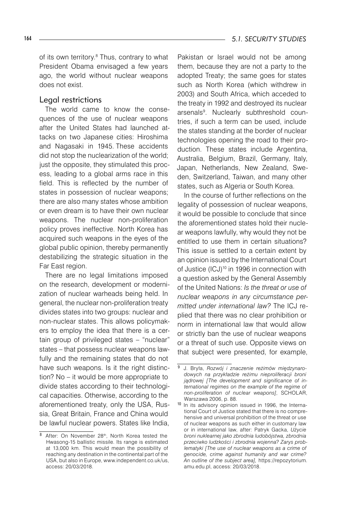of its own territory.<sup>8</sup> Thus, contrary to what President Obama envisaged a few years ago, the world without nuclear weapons does not exist.

#### Legal restrictions

The world came to know the consequences of the use of nuclear weapons after the United States had launched attacks on two Japanese cities: Hiroshima and Nagasaki in 1945. These accidents did not stop the nuclearization of the world; just the opposite, they stimulated this process, leading to a global arms race in this field. This is reflected by the number of states in possession of nuclear weapons; there are also many states whose ambition or even dream is to have their own nuclear weapons. The nuclear non-proliferation policy proves ineffective. North Korea has acquired such weapons in the eyes of the global public opinion, thereby permanently destabilizing the strategic situation in the Far East region.

There are no legal limitations imposed on the research, development or modernization of nuclear warheads being held. In general, the nuclear non-proliferation treaty divides states into two groups: nuclear and non-nuclear states. This allows policymakers to employ the idea that there is a certain group of privileged states – "nuclear" states – that possess nuclear weapons lawfully and the remaining states that do not have such weapons. Is it the right distinction? No – it would be more appropriate to divide states according to their technological capacities. Otherwise, according to the aforementioned treaty, only the USA, Russia, Great Britain, France and China would be lawful nuclear powers. States like India,

Pakistan or Israel would not be among them, because they are not a party to the adopted Treaty; the same goes for states such as North Korea (which withdrew in 2003) and South Africa, which acceded to the treaty in 1992 and destroyed its nuclear arsenals<sup>9</sup>. Nuclearly subthreshold countries, if such a term can be used, include the states standing at the border of nuclear technologies opening the road to their production. These states include Argentina, Australia, Belgium, Brazil, Germany, Italy, Japan, Netherlands, New Zealand, Sweden, Switzerland, Taiwan, and many other states, such as Algeria or South Korea.

In the course of further reflections on the legality of possession of nuclear weapons, it would be possible to conclude that since the aforementioned states hold their nuclear weapons lawfully, why would they not be entitled to use them in certain situations? This issue is settled to a certain extent by an opinion issued by the International Court of Justice (ICJ)<sup>10</sup> in 1996 in connection with a question asked by the General Assembly of the United Nations: *Is the threat or use of nuclear weapons in any circumstance permitted under international law?* The ICJ replied that there was no clear prohibition or norm in international law that would allow or strictly ban the use of nuclear weapons or a threat of such use. Opposite views on that subject were presented, for example,

<sup>8</sup> After: On November 28<sup>th</sup>, North Korea tested the Hwasong-15 ballistic missile. Its range is estimated at 13,000 km. This would mean the possibility of reaching any destination in the continental part of the USA, but also in Europe, www.independent.co.uk/us, access: 20/03/2018.

J. Bryła, *Rozwój i znaczenie reżimów międzynarodowych na przykładzie reżimu nieproliferacji broni jądrowej [The development and significance of international regimes on the example of the regime of non-proliferation of nuclear weapons]*, SCHOLAR, Warszawa 2006, p. 88.

<sup>10</sup> In its advisory opinion issued in 1996, the International Court of Justice stated that there is no comprehensive and universal prohibition of the threat or use of nuclear weapons as such either in customary law or in international law, after: Patryk Gacka, *Użycie broni nuklearnej jako zbrodnia ludobójstwa, zbrodnia przeciwko ludzkości i zbrodnia wojenna? Zarys problematyki [The use of nuclear weapons as a crime of genocide, crime against humanity and war crime? An outline of the subject area],* https://repozytorium. amu.edu.pl, access: 20/03/2018.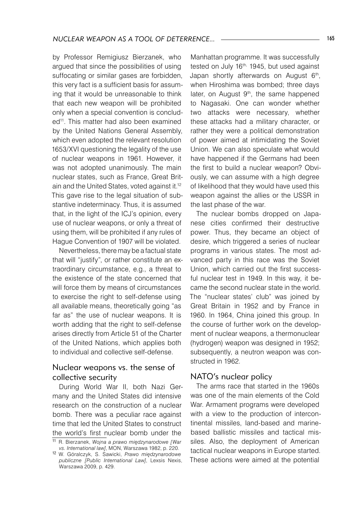by Professor Remigiusz Bierzanek, who argued that since the possibilities of using suffocating or similar gases are forbidden, this very fact is a sufficient basis for assuming that it would be unreasonable to think that each new weapon will be prohibited only when a special convention is concluded<sup>11</sup>. This matter had also been examined by the United Nations General Assembly, which even adopted the relevant resolution 1653/XVI questioning the legality of the use of nuclear weapons in 1961. However, it was not adopted unanimously. The main nuclear states, such as France, Great Britain and the United States, voted against it.12 This gave rise to the legal situation of substantive indeterminacy. Thus, it is assumed that, in the light of the ICJ's opinion, every use of nuclear weapons, or only a threat of using them, will be prohibited if any rules of Hague Convention of 1907 will be violated.

Nevertheless, there may be a factual state that will "justify", or rather constitute an extraordinary circumstance, e.g., a threat to the existence of the state concerned that will force them by means of circumstances to exercise the right to self-defense using all available means, theoretically going "as far as" the use of nuclear weapons. It is worth adding that the right to self-defense arises directly from Article 51 of the Charter of the United Nations, which applies both to individual and collective self-defense.

# Nuclear weapons vs. the sense of collective security

During World War II, both Nazi Germany and the United States did intensive research on the construction of a nuclear bomb. There was a peculiar race against time that led the United States to construct the world's first nuclear bomb under the

Manhattan programme. It was successfully tested on July 16<sup>th,</sup> 1945, but used against Japan shortly afterwards on August 6<sup>th</sup>, when Hiroshima was bombed; three days later, on August 9<sup>th</sup>, the same happened to Nagasaki. One can wonder whether two attacks were necessary, whether these attacks had a military character, or rather they were a political demonstration of power aimed at intimidating the Soviet Union. We can also speculate what would have happened if the Germans had been the first to build a nuclear weapon? Obviously, we can assume with a high degree of likelihood that they would have used this weapon against the allies or the USSR in the last phase of the war.

The nuclear bombs dropped on Japanese cities confirmed their destructive power. Thus, they became an object of desire, which triggered a series of nuclear programs in various states. The most advanced party in this race was the Soviet Union, which carried out the first successful nuclear test in 1949. In this way, it became the second nuclear state in the world. The "nuclear states' club" was joined by Great Britain in 1952 and by France in 1960. In 1964, China joined this group. In the course of further work on the development of nuclear weapons, a thermonuclear (hydrogen) weapon was designed in 1952; subsequently, a neutron weapon was constructed in 1962.

## NATO's nuclear policy

The arms race that started in the 1960s was one of the main elements of the Cold War. Armament programs were developed with a view to the production of intercontinental missiles, land-based and marinebased ballistic missiles and tactical missiles. Also, the deployment of American tactical nuclear weapons in Europe started. These actions were aimed at the potential

<sup>11</sup> R. Bierzanek, *Wojna a prawo międzynarodowe [War vs. International law]*, MON, Warszawa 1982, p. 220.

<sup>12</sup> W. Góralczyk, S. Sawicki, *Prawo międzynarodowe publiczne [Public International Law]*, Lexsis Nexis, Warszawa 2009, p. 429.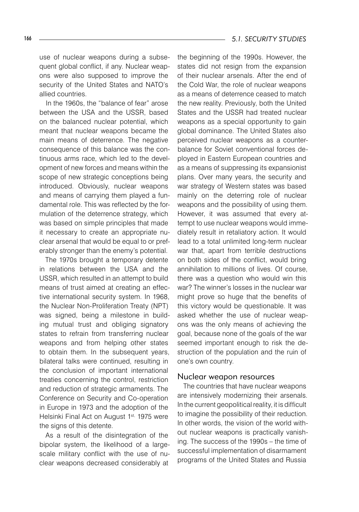use of nuclear weapons during a subsequent global conflict, if any. Nuclear weapons were also supposed to improve the security of the United States and NATO's allied countries.

In the 1960s, the "balance of fear" arose between the USA and the USSR, based on the balanced nuclear potential, which meant that nuclear weapons became the main means of deterrence. The negative consequence of this balance was the continuous arms race, which led to the development of new forces and means within the scope of new strategic conceptions being introduced. Obviously, nuclear weapons and means of carrying them played a fundamental role. This was reflected by the formulation of the deterrence strategy, which was based on simple principles that made it necessary to create an appropriate nuclear arsenal that would be equal to or preferably stronger than the enemy's potential.

The 1970s brought a temporary detente in relations between the USA and the USSR, which resulted in an attempt to build means of trust aimed at creating an effective international security system. In 1968, the Nuclear Non-Proliferation Treaty (NPT) was signed, being a milestone in building mutual trust and obliging signatory states to refrain from transferring nuclear weapons and from helping other states to obtain them. In the subsequent years, bilateral talks were continued, resulting in the conclusion of important international treaties concerning the control, restriction and reduction of strategic armaments. The Conference on Security and Co-operation in Europe in 1973 and the adoption of the Helsinki Final Act on August 1<sup>st,</sup> 1975 were the signs of this detente.

As a result of the disintegration of the bipolar system, the likelihood of a largescale military conflict with the use of nuclear weapons decreased considerably at

the beginning of the 1990s. However, the states did not resign from the expansion of their nuclear arsenals. After the end of the Cold War, the role of nuclear weapons as a means of deterrence ceased to match the new reality. Previously, both the United States and the USSR had treated nuclear weapons as a special opportunity to gain global dominance. The United States also perceived nuclear weapons as a counterbalance for Soviet conventional forces deployed in Eastern European countries and as a means of suppressing its expansionist plans. Over many years, the security and war strategy of Western states was based mainly on the deterring role of nuclear weapons and the possibility of using them. However, it was assumed that every attempt to use nuclear weapons would immediately result in retaliatory action. It would lead to a total unlimited long-term nuclear war that, apart from terrible destructions on both sides of the conflict, would bring annihilation to millions of lives. Of course, there was a question who would win this war? The winner's losses in the nuclear war might prove so huge that the benefits of this victory would be questionable. It was asked whether the use of nuclear weapons was the only means of achieving the goal, because none of the goals of the war seemed important enough to risk the destruction of the population and the ruin of one's own country.

#### Nuclear weapon resources

The countries that have nuclear weapons are intensively modernizing their arsenals. In the current geopolitical reality, it is difficult to imagine the possibility of their reduction. In other words, the vision of the world without nuclear weapons is practically vanishing. The success of the 1990s – the time of successful implementation of disarmament programs of the United States and Russia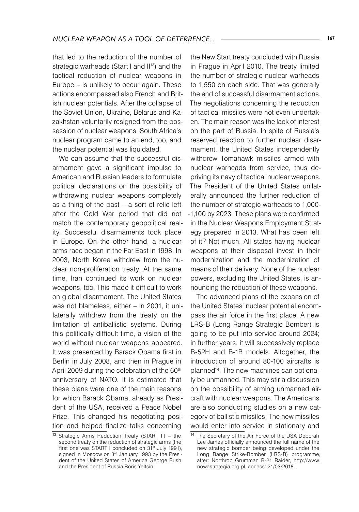that led to the reduction of the number of strategic warheads (Start I and II<sup>13</sup>) and the tactical reduction of nuclear weapons in Europe – is unlikely to occur again. These actions encompassed also French and British nuclear potentials. After the collapse of the Soviet Union, Ukraine, Belarus and Kazakhstan voluntarily resigned from the possession of nuclear weapons. South Africa's nuclear program came to an end, too, and the nuclear potential was liquidated.

We can assume that the successful disarmament gave a significant impulse to American and Russian leaders to formulate political declarations on the possibility of withdrawing nuclear weapons completely as a thing of the past – a sort of relic left after the Cold War period that did not match the contemporary geopolitical reality. Successful disarmaments took place in Europe. On the other hand, a nuclear arms race began in the Far East in 1998. In 2003, North Korea withdrew from the nuclear non-proliferation treaty. At the same time, Iran continued its work on nuclear weapons, too. This made it difficult to work on global disarmament. The United States was not blameless, either – in 2001, it unilaterally withdrew from the treaty on the limitation of antiballistic systems. During this politically difficult time, a vision of the world without nuclear weapons appeared. It was presented by Barack Obama first in Berlin in July 2008, and then in Prague in April 2009 during the celebration of the 60<sup>th</sup> anniversary of NATO. It is estimated that these plans were one of the main reasons for which Barack Obama, already as President of the USA, received a Peace Nobel Prize. This changed his negotiating position and helped finalize talks concerning

the New Start treaty concluded with Russia in Prague in April 2010. The treaty limited the number of strategic nuclear warheads to 1,550 on each side. That was generally the end of successful disarmament actions. The negotiations concerning the reduction of tactical missiles were not even undertaken. The main reason was the lack of interest on the part of Russia. In spite of Russia's reserved reaction to further nuclear disarmament, the United States independently withdrew Tomahawk missiles armed with nuclear warheads from service, thus depriving its navy of tactical nuclear weapons. The President of the United States unilaterally announced the further reduction of the number of strategic warheads to 1,000- -1,100 by 2023. These plans were confirmed in the Nuclear Weapons Employment Strategy prepared in 2013. What has been left of it? Not much. All states having nuclear weapons at their disposal invest in their modernization and the modernization of means of their delivery. None of the nuclear powers, excluding the United States, is announcing the reduction of these weapons.

The advanced plans of the expansion of the United States' nuclear potential encompass the air force in the first place. A new LRS-B (Long Range Strategic Bomber) is going to be put into service around 2024; in further years, it will successively replace B-52H and B-1B models. Altogether, the introduction of around 80-100 aircrafts is planned14 . The new machines can optionally be unmanned. This may stir a discussion on the possibility of arming unmanned aircraft with nuclear weapons. The Americans are also conducting studies on a new category of ballistic missiles. The new missiles would enter into service in stationary and

<sup>13</sup> Strategic Arms Reduction Treaty (START II) – the second treaty on the reduction of strategic arms (the first one was START I concluded on 31<sup>st</sup> July 1991), signed in Moscow on 3rd January 1993 by the President of the United States of America George Bush and the President of Russia Boris Yeltsin.

<sup>14</sup> The Secretary of the Air Force of the USA Deborah Lee James officially announced the full name of the new strategic bomber being developed under the Long Range Strike-Bomber (LRS-B) programme, after: Northrop Grumman B-21 Raider, http://www. nowastrategia.org.pl, access: 21/03/2018.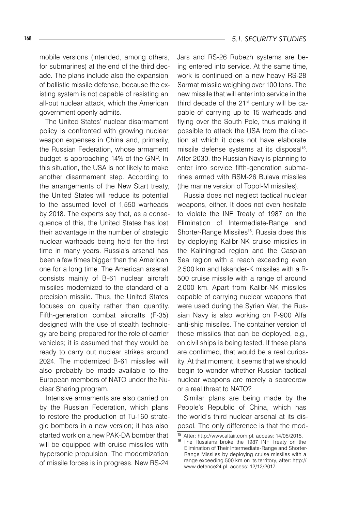mobile versions (intended, among others, for submarines) at the end of the third decade. The plans include also the expansion of ballistic missile defense, because the existing system is not capable of resisting an all-out nuclear attack, which the American government openly admits.

The United States' nuclear disarmament policy is confronted with growing nuclear weapon expenses in China and, primarily, the Russian Federation, whose armament budget is approaching 14% of the GNP. In this situation, the USA is not likely to make another disarmament step. According to the arrangements of the New Start treaty, the United States will reduce its potential to the assumed level of 1,550 warheads by 2018. The experts say that, as a consequence of this, the United States has lost their advantage in the number of strategic nuclear warheads being held for the first time in many years. Russia's arsenal has been a few times bigger than the American one for a long time. The American arsenal consists mainly of B-61 nuclear aircraft missiles modernized to the standard of a precision missile. Thus, the United States focuses on quality rather than quantity. Fifth-generation combat aircrafts (F-35) designed with the use of stealth technology are being prepared for the role of carrier vehicles; it is assumed that they would be ready to carry out nuclear strikes around 2024. The modernized B-61 missiles will also probably be made available to the European members of NATO under the Nuclear Sharing program.

Intensive armaments are also carried on by the Russian Federation, which plans to restore the production of Tu-160 strategic bombers in a new version; it has also started work on a new PAK-DA bomber that will be equipped with cruise missiles with hypersonic propulsion. The modernization of missile forces is in progress. New RS-24

Jars and RS-26 Rubezh systems are being entered into service. At the same time, work is continued on a new heavy RS-28 Sarmat missile weighing over 100 tons. The new missile that will enter into service in the third decade of the 21<sup>st</sup> century will be capable of carrying up to 15 warheads and flying over the South Pole, thus making it possible to attack the USA from the direction at which it does not have elaborate missile defense systems at its disposal<sup>15</sup>. After 2030, the Russian Navy is planning to enter into service fifth-generation submarines armed with RSM-26 Bulava missiles (the marine version of Topol-M missiles).

Russia does not neglect tactical nuclear weapons, either. It does not even hesitate to violate the INF Treaty of 1987 on the Elimination of Intermediate-Range and Shorter-Range Missiles<sup>16</sup>. Russia does this by deploying Kalibr-NK cruise missiles in the Kaliningrad region and the Caspian Sea region with a reach exceeding even 2,500 km and Iskander-K missiles with a R-500 cruise missile with a range of around 2,000 km. Apart from Kalibr-NK missiles capable of carrying nuclear weapons that were used during the Syrian War, the Russian Navy is also working on P-900 Alfa anti-ship missiles. The container version of these missiles that can be deployed, e.g., on civil ships is being tested. If these plans are confirmed, that would be a real curiosity. At that moment, it seems that we should begin to wonder whether Russian tactical nuclear weapons are merely a scarecrow or a real threat to NATO?

Similar plans are being made by the People's Republic of China, which has the world's third nuclear arsenal at its disposal. The only difference is that the mod-

<sup>15</sup> After: http://www.altair.com.pl, access: 14/05/2015.

<sup>16</sup> The Russians broke the 1987 INF Treaty on the Elimination of Their Intermediate-Range and Shorter-Range Missiles by deploying cruise missiles with a range exceeding 500 km on its territory, after: http:// www.defence24.pl, access: 12/12/2017.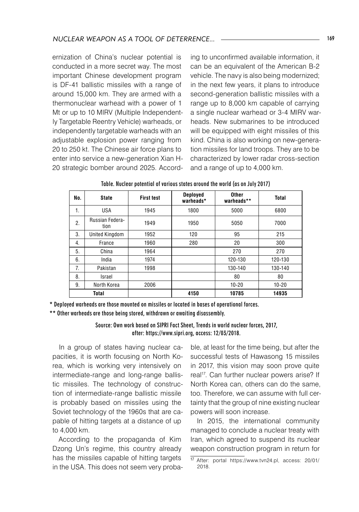ernization of China's nuclear potential is conducted in a more secret way. The most important Chinese development program is DF-41 ballistic missiles with a range of around 15,000 km. They are armed with a thermonuclear warhead with a power of 1 Mt or up to 10 MIRV (Multiple Independently Targetable Reentry Vehicle) warheads, or independently targetable warheads with an adjustable explosion power ranging from 20 to 250 kt. The Chinese air force plans to enter into service a new-generation Xian H-20 strategic bomber around 2025. According to unconfirmed available information, it can be an equivalent of the American B-2 vehicle. The navy is also being modernized; in the next few years, it plans to introduce second-generation ballistic missiles with a range up to 8,000 km capable of carrying a single nuclear warhead or 3-4 MIRV warheads. New submarines to be introduced will be equipped with eight missiles of this kind. China is also working on new-generation missiles for land troops. They are to be characterized by lower radar cross-section and a range of up to 4,000 km.

| No.          | <b>State</b>            | <b>First test</b> | <b>Deployed</b><br>warheads* | <b>Other</b><br>warheads** | <b>Total</b> |
|--------------|-------------------------|-------------------|------------------------------|----------------------------|--------------|
| 1.           | <b>USA</b>              | 1945              | 1800                         | 5000                       | 6800         |
| 2.           | Russian Federa-<br>tion | 1949              | 1950                         | 5050                       | 7000         |
| 3.           | United Kingdom          | 1952              | 120                          | 95                         | 215          |
| 4.           | France                  | 1960              | 280                          | 20                         | 300          |
| 5.           | China                   | 1964              |                              | 270                        | 270          |
| 6.           | India                   | 1974              |                              | 120-130                    | 120-130      |
| 7.           | Pakistan                | 1998              |                              | 130-140                    | 130-140      |
| 8.           | Israel                  |                   |                              | 80                         | 80           |
| 9.           | North Korea             | 2006              |                              | $10 - 20$                  | $10 - 20$    |
| <b>Total</b> |                         |                   | 4150                         | 10785                      | 14935        |

Table. Nuclear potential of various states around the world (as on July 2017)

\* Deployed warheads are those mounted on missiles or located in bases of operational forces.

\*\* Other warheads are those being stored, withdrawn or awaiting disassembly.

Source: Own work based on SIPRI Fact Sheet, Trends in world nuclear forces, 2017, after: https://www.sipri.org, access: 12/03/2018.

In a group of states having nuclear capacities, it is worth focusing on North Korea, which is working very intensively on intermediate-range and long-range ballistic missiles. The technology of construction of intermediate-range ballistic missile is probably based on missiles using the Soviet technology of the 1960s that are capable of hitting targets at a distance of up to 4,000 km.

According to the propaganda of Kim Dzong Un's regime, this country already has the missiles capable of hitting targets in the USA. This does not seem very probable, at least for the time being, but after the successful tests of Hawasong 15 missiles in 2017, this vision may soon prove quite real<sup>17</sup>. Can further nuclear powers arise? If North Korea can, others can do the same, too. Therefore, we can assume with full certainty that the group of nine existing nuclear powers will soon increase.

In 2015, the international community managed to conclude a nuclear treaty with Iran, which agreed to suspend its nuclear weapon construction program in return for

<sup>17</sup> After: portal https://www.tvn24.pl, access: 20/01/ 2018.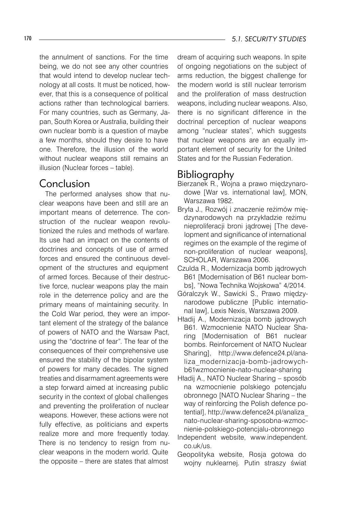#### 170 *5.1. SECURITY STUDIES*

the annulment of sanctions. For the time being, we do not see any other countries that would intend to develop nuclear technology at all costs. It must be noticed, however, that this is a consequence of political actions rather than technological barriers. For many countries, such as Germany, Japan, South Korea or Australia, building their own nuclear bomb is a question of maybe a few months, should they desire to have one. Therefore, the illusion of the world without nuclear weapons still remains an illusion (Nuclear forces – table).

# Conclusion

The performed analyses show that nuclear weapons have been and still are an important means of deterrence. The construction of the nuclear weapon revolutionized the rules and methods of warfare. Its use had an impact on the contents of doctrines and concepts of use of armed forces and ensured the continuous development of the structures and equipment of armed forces. Because of their destructive force, nuclear weapons play the main role in the deterrence policy and are the primary means of maintaining security. In the Cold War period, they were an important element of the strategy of the balance of powers of NATO and the Warsaw Pact, using the "doctrine of fear". The fear of the consequences of their comprehensive use ensured the stability of the bipolar system of powers for many decades. The signed treaties and disarmament agreements were a step forward aimed at increasing public security in the context of global challenges and preventing the proliferation of nuclear weapons. However, these actions were not fully effective, as politicians and experts realize more and more frequently today. There is no tendency to resign from nuclear weapons in the modern world. Quite the opposite – there are states that almost

dream of acquiring such weapons. In spite of ongoing negotiations on the subject of arms reduction, the biggest challenge for the modern world is still nuclear terrorism and the proliferation of mass destruction weapons, including nuclear weapons. Also, there is no significant difference in the doctrinal perception of nuclear weapons among "nuclear states", which suggests that nuclear weapons are an equally important element of security for the United States and for the Russian Federation.

# Bibliography

- Bierzanek R., Wojna a prawo międzynarodowe [War vs. international law], MON, Warszawa 1982.
- Bryła J., Rozwój i znaczenie reżimów międzynarodowych na przykładzie reżimu nieproliferacji broni jądrowej [The development and significance of international regimes on the example of the regime of non-proliferation of nuclear weapons], SCHOLAR, Warszawa 2006.
- Czulda R., Modernizacja bomb jądrowych B61 [Modernisation of B61 nuclear bombs], "Nowa Technika Wojskowa" 4/2014.
- Góralczyk W., Sawicki S., Prawo międzynarodowe publiczne [Public international law], Lexis Nexis, Warszawa 2009.
- Hładij A., Modernizacja bomb jądrowych B61. Wzmocnienie NATO Nuclear Sharing [Modernisation of B61 nuclear bombs. Reinforcement of NATO Nuclear Sharing], http://www.defence24.pl/analiza\_modernizacja-bomb-jadrowychb61wzmocnienie-nato-nuclear-sharing
- Hładij A., NATO Nuclear Sharing sposób na wzmocnienie polskiego potencjału obronnego [NATO Nuclear Sharing – the way of reinforcing the Polish defence potential], http://www.defence24.pl/analiza\_ nato-nuclear-sharing-sposobna-wzmocnienie-polskiego-potencjalu-obronnego
- Independent website, www.independent. co.uk/us.
- Geopolityka website, Rosja gotowa do wojny nuklearnej. Putin straszy świat